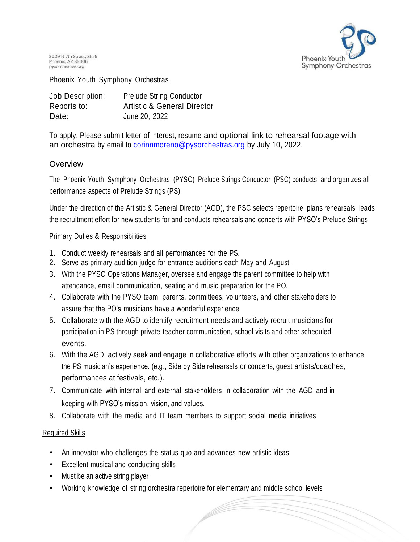

2009 N 7th Street, Ste 9 Phoenix, AZ 85006 pysorchestras.org

#### Phoenix Youth Symphony Orchestras

| Job Description: | <b>Prelude String Conductor</b>        |
|------------------|----------------------------------------|
| Reports to:      | <b>Artistic &amp; General Director</b> |
| Date:            | June 20, 2022                          |

To apply, Please submit letter of interest, resume and optional link to rehearsal footage with an orchestra by email to [corinnmoreno@pysorchestras.org](mailto:corinnmoreno@pysorchestras.org) by July 10, 2022.

# **Overview**

The Phoenix Youth Symphony Orchestras (PYSO) Prelude Strings Conductor (PSC) conducts and organizes all performance aspects of Prelude Strings (PS)

Under the direction of the Artistic & General Director (AGD), the PSC selects repertoire, plans rehearsals, leads the recruitment effort for new students for and conducts rehearsals and concerts with PYSO's Prelude Strings.

# Primary Duties & Responsibilities

- 1. Conduct weekly rehearsals and all performances for the PS.
- 2. Serve as primary audition judge for entrance auditions each May and August.
- 3. With the PYSO Operations Manager, oversee and engage the parent committee to help with attendance, email communication, seating and music preparation for the PO.
- 4. Collaborate with the PYSO team, parents, committees, volunteers, and other stakeholders to assure that the PO's musicians have a wonderful experience.
- 5. Collaborate with the AGD to identify recruitment needs and actively recruit musicians for participation in PS through private teacher communication, school visits and other scheduled events.
- 6. With the AGD, actively seek and engage in collaborative efforts with other organizations to enhance the PS musician's experience. (e.g., Side by Side rehearsals or concerts, guest artists/coaches, performances at festivals, etc.).
- 7. Communicate with internal and external stakeholders in collaboration with the AGD and in keeping with PYSO's mission, vision, and values.
- 8. Collaborate with the media and IT team members to support social media initiatives

# Required Skills

- An innovator who challenges the status quo and advances new artistic ideas
- Excellent musical and conducting skills
- Must be an active string player
- Working knowledge of string orchestra repertoire for elementary and middle school levels